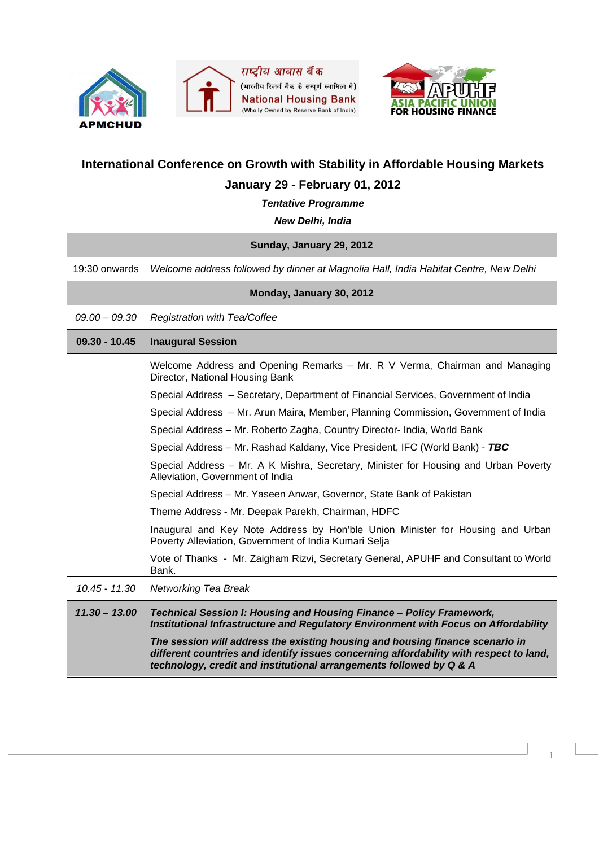





## **International Conference on Growth with Stability in Affordable Housing Markets**

## **January 29 - February 01, 2012**

*Tentative Programme* 

## *New Delhi, India*

| Sunday, January 29, 2012 |                                                                                                                                                                                                                                                |  |
|--------------------------|------------------------------------------------------------------------------------------------------------------------------------------------------------------------------------------------------------------------------------------------|--|
| 19:30 onwards            | Welcome address followed by dinner at Magnolia Hall, India Habitat Centre, New Delhi                                                                                                                                                           |  |
| Monday, January 30, 2012 |                                                                                                                                                                                                                                                |  |
| $09.00 - 09.30$          | <b>Registration with Tea/Coffee</b>                                                                                                                                                                                                            |  |
| $09.30 - 10.45$          | <b>Inaugural Session</b>                                                                                                                                                                                                                       |  |
|                          | Welcome Address and Opening Remarks - Mr. R V Verma, Chairman and Managing<br>Director, National Housing Bank                                                                                                                                  |  |
|                          | Special Address - Secretary, Department of Financial Services, Government of India                                                                                                                                                             |  |
|                          | Special Address - Mr. Arun Maira, Member, Planning Commission, Government of India                                                                                                                                                             |  |
|                          | Special Address - Mr. Roberto Zagha, Country Director- India, World Bank                                                                                                                                                                       |  |
|                          | Special Address – Mr. Rashad Kaldany, Vice President, IFC (World Bank) - TBC                                                                                                                                                                   |  |
|                          | Special Address - Mr. A K Mishra, Secretary, Minister for Housing and Urban Poverty<br>Alleviation, Government of India                                                                                                                        |  |
|                          | Special Address - Mr. Yaseen Anwar, Governor, State Bank of Pakistan                                                                                                                                                                           |  |
|                          | Theme Address - Mr. Deepak Parekh, Chairman, HDFC                                                                                                                                                                                              |  |
|                          | Inaugural and Key Note Address by Hon'ble Union Minister for Housing and Urban<br>Poverty Alleviation, Government of India Kumari Selja                                                                                                        |  |
|                          | Vote of Thanks - Mr. Zaigham Rizvi, Secretary General, APUHF and Consultant to World<br>Bank.                                                                                                                                                  |  |
| 10.45 - 11.30            | <b>Networking Tea Break</b>                                                                                                                                                                                                                    |  |
| $11.30 - 13.00$          | Technical Session I: Housing and Housing Finance - Policy Framework,<br>Institutional Infrastructure and Regulatory Environment with Focus on Affordability                                                                                    |  |
|                          | The session will address the existing housing and housing finance scenario in<br>different countries and identify issues concerning affordability with respect to land,<br>technology, credit and institutional arrangements followed by Q & A |  |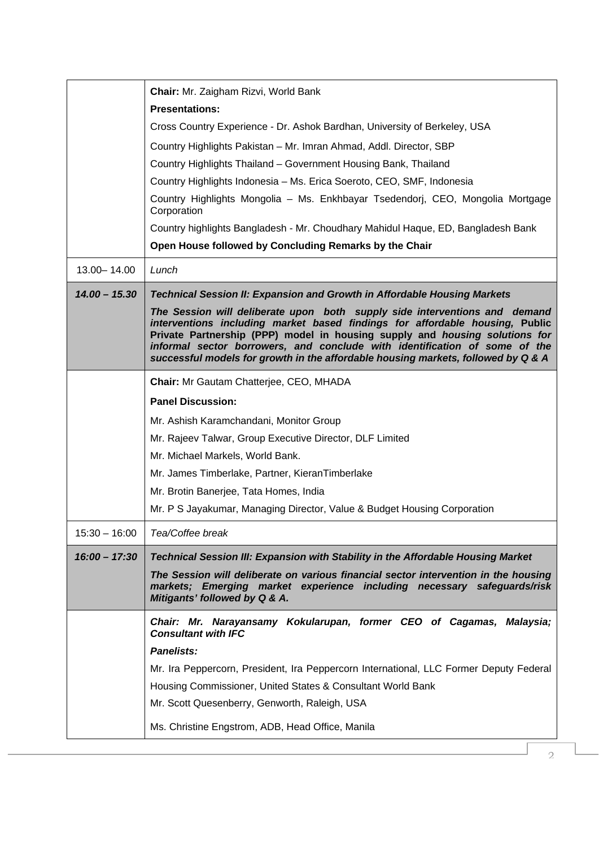|                 | Chair: Mr. Zaigham Rizvi, World Bank                                                                                                                                                                                                                                                                                                                                                                         |
|-----------------|--------------------------------------------------------------------------------------------------------------------------------------------------------------------------------------------------------------------------------------------------------------------------------------------------------------------------------------------------------------------------------------------------------------|
|                 | <b>Presentations:</b>                                                                                                                                                                                                                                                                                                                                                                                        |
|                 | Cross Country Experience - Dr. Ashok Bardhan, University of Berkeley, USA                                                                                                                                                                                                                                                                                                                                    |
|                 | Country Highlights Pakistan - Mr. Imran Ahmad, Addl. Director, SBP                                                                                                                                                                                                                                                                                                                                           |
|                 | Country Highlights Thailand - Government Housing Bank, Thailand                                                                                                                                                                                                                                                                                                                                              |
|                 | Country Highlights Indonesia - Ms. Erica Soeroto, CEO, SMF, Indonesia                                                                                                                                                                                                                                                                                                                                        |
|                 | Country Highlights Mongolia - Ms. Enkhbayar Tsedendorj, CEO, Mongolia Mortgage<br>Corporation                                                                                                                                                                                                                                                                                                                |
|                 | Country highlights Bangladesh - Mr. Choudhary Mahidul Haque, ED, Bangladesh Bank                                                                                                                                                                                                                                                                                                                             |
|                 | Open House followed by Concluding Remarks by the Chair                                                                                                                                                                                                                                                                                                                                                       |
| 13.00 - 14.00   | Lunch                                                                                                                                                                                                                                                                                                                                                                                                        |
| $14.00 - 15.30$ | <b>Technical Session II: Expansion and Growth in Affordable Housing Markets</b>                                                                                                                                                                                                                                                                                                                              |
|                 | The Session will deliberate upon both supply side interventions and demand<br>interventions including market based findings for affordable housing, Public<br>Private Partnership (PPP) model in housing supply and housing solutions for<br>informal sector borrowers, and conclude with identification of some of the<br>successful models for growth in the affordable housing markets, followed by Q & A |
|                 | Chair: Mr Gautam Chatterjee, CEO, MHADA                                                                                                                                                                                                                                                                                                                                                                      |
|                 | <b>Panel Discussion:</b>                                                                                                                                                                                                                                                                                                                                                                                     |
|                 | Mr. Ashish Karamchandani, Monitor Group                                                                                                                                                                                                                                                                                                                                                                      |
|                 | Mr. Rajeev Talwar, Group Executive Director, DLF Limited                                                                                                                                                                                                                                                                                                                                                     |
|                 | Mr. Michael Markels, World Bank.                                                                                                                                                                                                                                                                                                                                                                             |
|                 | Mr. James Timberlake, Partner, KieranTimberlake                                                                                                                                                                                                                                                                                                                                                              |
|                 | Mr. Brotin Banerjee, Tata Homes, India                                                                                                                                                                                                                                                                                                                                                                       |
|                 | Mr. P S Jayakumar, Managing Director, Value & Budget Housing Corporation                                                                                                                                                                                                                                                                                                                                     |
| $15:30 - 16:00$ | Tea/Coffee break                                                                                                                                                                                                                                                                                                                                                                                             |
| $16:00 - 17:30$ | Technical Session III: Expansion with Stability in the Affordable Housing Market                                                                                                                                                                                                                                                                                                                             |
|                 | The Session will deliberate on various financial sector intervention in the housing<br>markets; Emerging market experience including necessary safeguards/risk<br>Mitigants' followed by Q & A.                                                                                                                                                                                                              |
|                 | Chair: Mr. Narayansamy Kokularupan, former CEO of Cagamas, Malaysia;<br><b>Consultant with IFC</b>                                                                                                                                                                                                                                                                                                           |
|                 | <b>Panelists:</b>                                                                                                                                                                                                                                                                                                                                                                                            |
|                 | Mr. Ira Peppercorn, President, Ira Peppercorn International, LLC Former Deputy Federal                                                                                                                                                                                                                                                                                                                       |
|                 | Housing Commissioner, United States & Consultant World Bank                                                                                                                                                                                                                                                                                                                                                  |
|                 | Mr. Scott Quesenberry, Genworth, Raleigh, USA                                                                                                                                                                                                                                                                                                                                                                |
|                 | Ms. Christine Engstrom, ADB, Head Office, Manila                                                                                                                                                                                                                                                                                                                                                             |
|                 | 2.                                                                                                                                                                                                                                                                                                                                                                                                           |